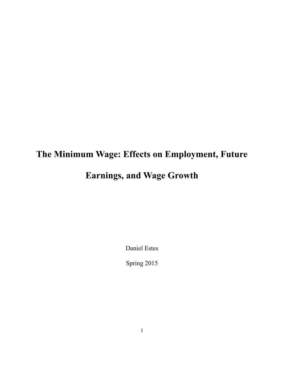# **The Minimum Wage: Effects on Employment, Future Earnings, and Wage Growth**

Daniel Estes

Spring 2015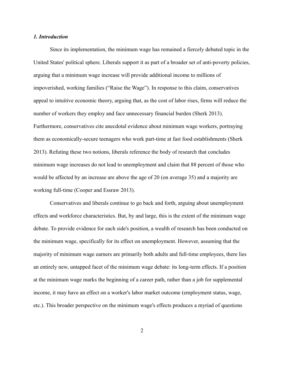## *1. Introduction*

Since its implementation, the minimum wage has remained a fiercely debated topic in the United States' political sphere. Liberals support it as part of a broader set of anti-poverty policies, arguing that a minimum wage increase will provide additional income to millions of impoverished, working families ("Raise the Wage"). In response to this claim, conservatives appeal to intuitive economic theory, arguing that, as the cost of labor rises, firms will reduce the number of workers they employ and face unnecessary financial burden (Sherk 2013). Furthermore, conservatives cite anecdotal evidence about minimum wage workers, portraying them as economically-secure teenagers who work part-time at fast food establishments (Sherk 2013). Refuting these two notions, liberals reference the body of research that concludes minimum wage increases do not lead to unemployment and claim that 88 percent of those who would be affected by an increase are above the age of 20 (on average 35) and a majority are working full-time (Cooper and Essraw 2013).

Conservatives and liberals continue to go back and forth, arguing about unemployment effects and workforce characteristics. But, by and large, this is the extent of the minimum wage debate. To provide evidence for each side's position, a wealth of research has been conducted on the minimum wage, specifically for its effect on unemployment. However, assuming that the majority of minimum wage earners are primarily both adults and full-time employees, there lies an entirely new, untapped facet of the minimum wage debate: its long-term effects. If a position at the minimum wage marks the beginning of a career path, rather than a job for supplemental income, it may have an effect on a worker's labor market outcome (employment status, wage, etc.). This broader perspective on the minimum wage's effects produces a myriad of questions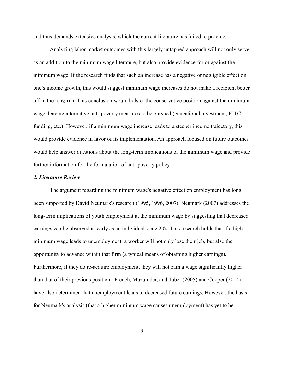and thus demands extensive analysis, which the current literature has failed to provide.

Analyzing labor market outcomes with this largely untapped approach will not only serve as an addition to the minimum wage literature, but also provide evidence for or against the minimum wage. If the research finds that such an increase has a negative or negligible effect on one's income growth, this would suggest minimum wage increases do not make a recipient better off in the long-run. This conclusion would bolster the conservative position against the minimum wage, leaving alternative anti-poverty measures to be pursued (educational investment, EITC funding, etc.). However, if a minimum wage increase leads to a steeper income trajectory, this would provide evidence in favor of its implementation. An approach focused on future outcomes would help answer questions about the long-term implications of the minimum wage and provide further information for the formulation of anti-poverty policy.

## *2. Literature Review*

The argument regarding the minimum wage's negative effect on employment has long been supported by David Neumark's research (1995, 1996, 2007). Neumark (2007) addresses the long-term implications of youth employment at the minimum wage by suggesting that decreased earnings can be observed as early as an individual's late 20's. This research holds that if a high minimum wage leads to unemployment, a worker will not only lose their job, but also the opportunity to advance within that firm (a typical means of obtaining higher earnings). Furthermore, if they do re-acquire employment, they will not earn a wage significantly higher than that of their previous position. French, Mazumder, and Taber (2005) and Cooper (2014) have also determined that unemployment leads to decreased future earnings. However, the basis for Neumark's analysis (that a higher minimum wage causes unemployment) has yet to be

3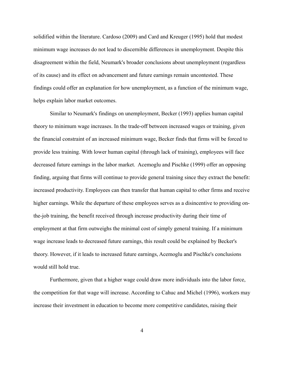solidified within the literature. Cardoso (2009) and Card and Kreuger (1995) hold that modest minimum wage increases do not lead to discernible differences in unemployment. Despite this disagreement within the field, Neumark's broader conclusions about unemployment (regardless of its cause) and its effect on advancement and future earnings remain uncontested. These findings could offer an explanation for how unemployment, as a function of the minimum wage, helps explain labor market outcomes.

Similar to Neumark's findings on unemployment, Becker (1993) applies human capital theory to minimum wage increases. In the trade-off between increased wages or training, given the financial constraint of an increased minimum wage, Becker finds that firms will be forced to provide less training. With lower human capital (through lack of training), employees will face decreased future earnings in the labor market. Acemoglu and Pischke (1999) offer an opposing finding, arguing that firms will continue to provide general training since they extract the benefit: increased productivity. Employees can then transfer that human capital to other firms and receive higher earnings. While the departure of these employees serves as a disincentive to providing onthe-job training, the benefit received through increase productivity during their time of employment at that firm outweighs the minimal cost of simply general training. If a minimum wage increase leads to decreased future earnings, this result could be explained by Becker's theory. However, if it leads to increased future earnings, Acemoglu and Pischke's conclusions would still hold true.

Furthermore, given that a higher wage could draw more individuals into the labor force, the competition for that wage will increase. According to Cahuc and Michel (1996), workers may increase their investment in education to become more competitive candidates, raising their

4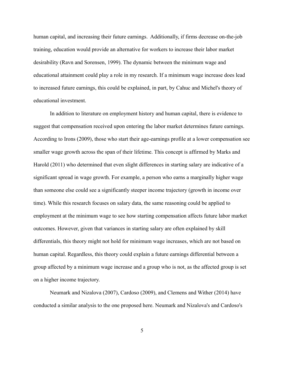human capital, and increasing their future earnings. Additionally, if firms decrease on-the-job training, education would provide an alternative for workers to increase their labor market desirability (Ravn and Sorensen, 1999). The dynamic between the minimum wage and educational attainment could play a role in my research. If a minimum wage increase does lead to increased future earnings, this could be explained, in part, by Cahuc and Michel's theory of educational investment.

In addition to literature on employment history and human capital, there is evidence to suggest that compensation received upon entering the labor market determines future earnings. According to Irons (2009), those who start their age-earnings profile at a lower compensation see smaller wage growth across the span of their lifetime. This concept is affirmed by Marks and Harold (2011) who determined that even slight differences in starting salary are indicative of a significant spread in wage growth. For example, a person who earns a marginally higher wage than someone else could see a significantly steeper income trajectory (growth in income over time). While this research focuses on salary data, the same reasoning could be applied to employment at the minimum wage to see how starting compensation affects future labor market outcomes. However, given that variances in starting salary are often explained by skill differentials, this theory might not hold for minimum wage increases, which are not based on human capital. Regardless, this theory could explain a future earnings differential between a group affected by a minimum wage increase and a group who is not, as the affected group is set on a higher income trajectory.

Neumark and Nizalova (2007), Cardoso (2009), and Clemens and Wither (2014) have conducted a similar analysis to the one proposed here. Neumark and Nizalova's and Cardoso's

5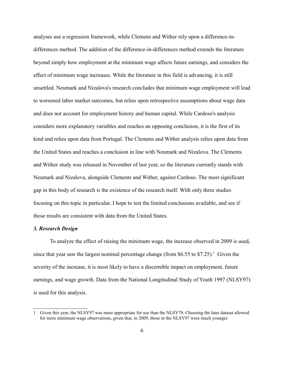analyses use a regression framework, while Clemens and Wither rely upon a difference-indifferences method. The addition of the difference-in-differences method extends the literature beyond simply how employment at the minimum wage affects future earnings, and considers the effect of minimum wage increases. While the literature in this field is advancing, it is still unsettled. Neumark and Nizalova's research concludes that minimum wage employment will lead to worsened labor market outcomes, but relies upon retrospective assumptions about wage data and does not account for employment history and human capital. While Cardoso's analysis considers more explanatory variables and reaches an opposing conclusion, it is the first of its kind and relies upon data from Portugal. The Clemens and Wither analysis relies upon data from the United States and reaches a conclusion in line with Neumark and Nizalova. The Clements and Wither study was released in November of last year, so the literature currently stands with Neumark and Nizalova, alongside Clements and Wither, against Cardoso. The most significant gap in this body of research is the existence of the research itself. With only three studies focusing on this topic in particular, I hope to test the limited conclusions available, and see if those results are consistent with data from the United States.

#### *3. Research Design*

To analyze the effect of raising the minimum wage, the increase observed in 2009 is used, since that year saw the largest nominal percentage change (from \$6.55 to \$7.25).<sup>[1](#page-5-0)</sup> Given the severity of the increase, it is most likely to have a discernible impact on employment, future earnings, and wage growth. Data from the National Longitudinal Study of Youth 1997 (NLSY97) is used for this analysis.

<span id="page-5-0"></span><sup>1</sup> Given this year, the NLSY97 was more appropriate for use than the NLSY79. Choosing the later dataset allowed for more minimum wage observations, given that, in 2009, those in the NLSY97 were much younger.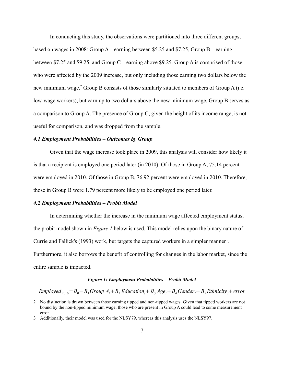In conducting this study, the observations were partitioned into three different groups, based on wages in 2008: Group A – earning between \$5.25 and \$7.25, Group B – earning between \$7.25 and \$9.25, and Group C – earning above \$9.25. Group A is comprised of those who were affected by the 2009 increase, but only including those earning two dollars below the new minimum wage.<sup>[2](#page-6-0)</sup> Group B consists of those similarly situated to members of Group A (i.e. low-wage workers), but earn up to two dollars above the new minimum wage. Group B serves as a comparison to Group A. The presence of Group C, given the height of its income range, is not useful for comparison, and was dropped from the sample.

## *4.1 Employment Probabilities – Outcomes by Group*

Given that the wage increase took place in 2009, this analysis will consider how likely it is that a recipient is employed one period later (in 2010). Of those in Group A, 75.14 percent were employed in 2010. Of those in Group B, 76.92 percent were employed in 2010. Therefore, those in Group B were 1.79 percent more likely to be employed one period later.

#### *4.2 Employment Probabilities – Probit Model*

In determining whether the increase in the minimum wage affected employment status, the probit model shown in *Figure 1* below is used. This model relies upon the binary nature of Currie and Fallick's (199[3](#page-6-1)) work, but targets the captured workers in a simpler manner<sup>3</sup>. Furthermore, it also borrows the benefit of controlling for changes in the labor market, since the entire sample is impacted.

#### *Figure 1: Employment Probabilities – Probit Model*

*Employed*<sub>2010</sub>= $B_0 + B_1$ *Group*  $A_i + B_2$ *Education*<sub>*i*</sub> +  $B_3$ *Age*<sub>*i*</sub>+*B*<sub>4</sub>*Gender*<sub>*i*</sub>+*B*<sub>5</sub>*Ethnicity*<sub>*i*</sub>+*error* 

<span id="page-6-0"></span><sup>2</sup> No distinction is drawn between those earning tipped and non-tipped wages. Given that tipped workers are not bound by the non-tipped minimum wage, those who are present in Group A could lead to some measurement error.

<span id="page-6-1"></span><sup>3</sup> Additionally, their model was used for the NLSY79, whereas this analysis uses the NLSY97.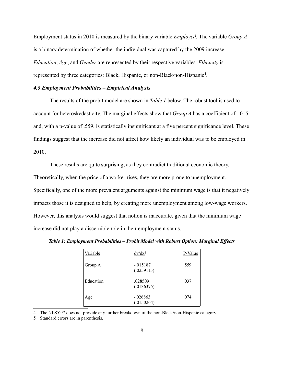Employment status in 2010 is measured by the binary variable *Employed.* The variable *Group A*  is a binary determination of whether the individual was captured by the 2009 increase. *Education*, *Age*, and *Gender* are represented by their respective variables. *Ethnicity* is represented by three categories: Black, Hispanic, or non-Black/non-Hispanic<sup>[4](#page-7-0)</sup>.

## *4.3 Employment Probabilities – Empirical Analysis*

The results of the probit model are shown in *Table 1* below. The robust tool is used to account for heteroskedasticity. The marginal effects show that *Group A* has a coefficient of -.015 and, with a p-value of .559, is statistically insignificant at a five percent significance level. These findings suggest that the increase did not affect how likely an individual was to be employed in 2010.

These results are quite surprising, as they contradict traditional economic theory. Theoretically, when the price of a worker rises, they are more prone to unemployment. Specifically, one of the more prevalent arguments against the minimum wage is that it negatively impacts those it is designed to help, by creating more unemployment among low-wage workers. However, this analysis would suggest that notion is inaccurate, given that the minimum wage increase did not play a discernible role in their employment status.

*Table 1: Employment Probabilities – Probit Model with Robust Option: Marginal Effects*

| Variable  | $dy/dx^5$                | P-Value |
|-----------|--------------------------|---------|
| Group A   | $-.015187$<br>(.0259115) | .559    |
| Education | .028509<br>(.0136375)    | .037    |
| Age       | $-.026863$<br>(.0150264) | .074    |

<span id="page-7-0"></span>4 The NLSY97 does not provide any further breakdown of the non-Black/non-Hispanic category.

<span id="page-7-1"></span>5 Standard errors are in parenthesis.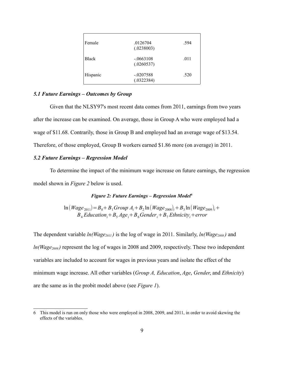| Female       | .0126704<br>(.0238003)    | .594 |
|--------------|---------------------------|------|
| <b>Black</b> | $-.0663108$<br>(.0260537) | .011 |
| Hispanic     | $-.0207588$<br>(.0322384) | .520 |

## *5.1 Future Earnings – Outcomes by Group*

Given that the NLSY97's most recent data comes from 2011, earnings from two years after the increase can be examined. On average, those in Group A who were employed had a wage of \$11.68. Contrarily, those in Group B and employed had an average wage of \$13.54. Therefore, of those employed, Group B workers earned \$1.86 more (on average) in 2011.

## *5.2 Future Earnings – Regression Model*

To determine the impact of the minimum wage increase on future earnings, the regression model shown in *Figure 2* below is used.

## *Figure 2: Future Earnings – Regression Model[6](#page-8-0)*

 $\ln(Wage_{2011}) = B_0 + B_1$  *Group*  $A_i + B_2 \ln(Wage_{2008})_i + B_3 \ln(Wage_{2009})_i +$  $B_4$  *Education*<sup>*i*</sup> +  $B_5$  *Age*<sup>*i*</sup> +  $B_6$  *Gender*<sup>*i*</sup> +  $B_7$  *Ethnicityi* + *error* 

The dependent variable *ln(Wage2011 )* is the log of wage in 2011. Similarly, *ln(Wage2008 )* and *ln(Wage2009 )* represent the log of wages in 2008 and 2009, respectively. These two independent variables are included to account for wages in previous years and isolate the effect of the minimum wage increase. All other variables (*Group A, Education*, *Age*, *Gender*, and *Ethnicity*) are the same as in the probit model above (see *Figure 1*).

<span id="page-8-0"></span><sup>6</sup> This model is run on only those who were employed in 2008, 2009, and 2011, in order to avoid skewing the effects of the variables.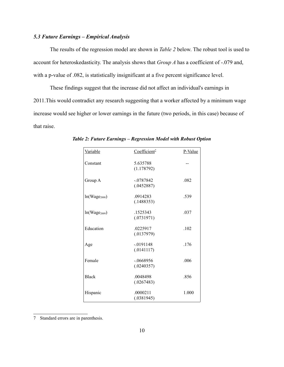## *5.3 Future Earnings – Empirical Analysis*

The results of the regression model are shown in *Table 2* below. The robust tool is used to account for heteroskedasticity. The analysis shows that *Group A* has a coefficient of -.079 and, with a p-value of .082, is statistically insignificant at a five percent significance level.

These findings suggest that the increase did not affect an individual's earnings in 2011.This would contradict any research suggesting that a worker affected by a minimum wage increase would see higher or lower earnings in the future (two periods, in this case) because of that raise.

| Variable          | Coefficient <sup>2</sup>  | P-Value |
|-------------------|---------------------------|---------|
| Constant          | 5.635788<br>(1.178792)    |         |
| Group A           | $-.0787842$<br>(.0452887) | .082    |
| $ln(Wage_{2008})$ | .0914283<br>(.1488353)    | .539    |
| $ln(Wage_{2009})$ | .1525343<br>(.0731971)    | .037    |
| Education         | .0225917<br>(.0137979)    | .102    |
| Age               | $-.0191148$<br>(.0141117) | .176    |
| Female            | $-.0668956$<br>(.0240357) | .006    |
| <b>Black</b>      | .0048498<br>(.0267483)    | .856    |
| Hispanic          | .0000211<br>(.0381945)    | 1.000   |

*Table 2: Future Earnings – Regression Model with Robust Option*

<span id="page-9-0"></span><sup>7</sup> Standard errors are in parenthesis.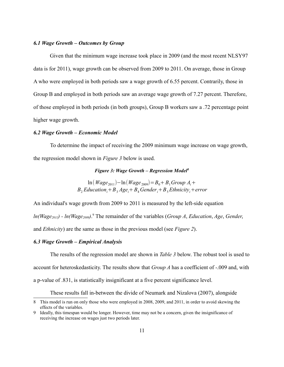## *6.1 Wage Growth – Outcomes by Group*

Given that the minimum wage increase took place in 2009 (and the most recent NLSY97 data is for 2011), wage growth can be observed from 2009 to 2011. On average, those in Group A who were employed in both periods saw a wage growth of 6.55 percent. Contrarily, those in Group B and employed in both periods saw an average wage growth of 7.27 percent. Therefore, of those employed in both periods (in both groups), Group B workers saw a .72 percentage point higher wage growth.

## *6.2 Wage Growth – Economic Model*

To determine the impact of receiving the 2009 minimum wage increase on wage growth, the regression model shown in *Figure 3* below is used.

## *Figure 3: Wage Growth – Regression Model[8](#page-10-0)*

 $\ln(Wage_{2011}) - \ln(Wage_{2009}) = B_0 + B_1$ *Group*  $A_i$  +  $B$ <sub>2</sub> *Education*<sub>*i*</sub> + *B*<sub>3</sub> *Age*<sub>*i*</sub> + *B*<sub>4</sub> *Gender*<sub>*i*</sub> + *B*<sub>5</sub> *Ethnicity*<sub>*i*</sub> + *error* 

An individual's wage growth from 2009 to 2011 is measured by the left-side equation *ln(Wage2011) - ln(Wage2009)*. [9](#page-10-1) The remainder of the variables (*Group A*, *Education*, *Age*, *Gender*, and *Ethnicity*) are the same as those in the previous model (see *Figure 2*).

## *6.3 Wage Growth – Empirical Analysis*

The results of the regression model are shown in *Table 3* below. The robust tool is used to account for heteroskedasticity. The results show that *Group A* has a coefficient of -.009 and, with a p-value of .831, is statistically insignificant at a five percent significance level.

These results fall in-between the divide of Neumark and Nizalova (2007), alongside

<span id="page-10-0"></span><sup>8</sup> This model is run on only those who were employed in 2008, 2009, and 2011, in order to avoid skewing the effects of the variables.

<span id="page-10-1"></span><sup>9</sup> Ideally, this timespan would be longer. However, time may not be a concern, given the insignificance of receiving the increase on wages just two periods later.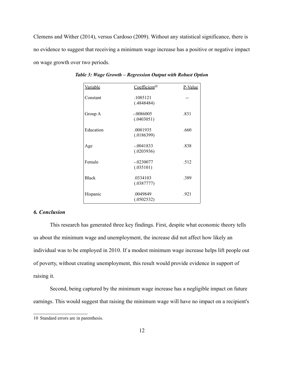Clemens and Wither (2014), versus Cardoso (2009). Without any statistical significance, there is no evidence to suggest that receiving a minimum wage increase has a positive or negative impact on wage growth over two periods.

| <b>Variable</b> | Coefficient <sup>10</sup> | P-Value |
|-----------------|---------------------------|---------|
| Constant        | .1085121<br>(.4848484)    |         |
| Group A         | $-.0086005$<br>(.0403051) | .831    |
| Education       | .0081935<br>(.0186399)    | .660    |
| Age             | $-.0041833$<br>(.0203936) | .838    |
| Female          | $-.0230077$<br>(.035101)  | .512    |
| <b>Black</b>    | .0334103<br>(.0387777)    | .389    |
| Hispanic        | .0049849<br>(.0502532)    | .921    |

*Table 3: Wage Growth – Regression Output with Robust Option*

## *6. Conclusion*

This research has generated three key findings. First, despite what economic theory tells us about the minimum wage and unemployment, the increase did not affect how likely an individual was to be employed in 2010. If a modest minimum wage increase helps lift people out of poverty, without creating unemployment, this result would provide evidence in support of raising it.

Second, being captured by the minimum wage increase has a negligible impact on future earnings. This would suggest that raising the minimum wage will have no impact on a recipient's

<span id="page-11-0"></span><sup>10</sup> Standard errors are in parenthesis.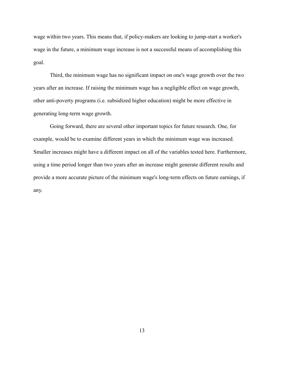wage within two years. This means that, if policy-makers are looking to jump-start a worker's wage in the future, a minimum wage increase is not a successful means of accomplishing this goal.

Third, the minimum wage has no significant impact on one's wage growth over the two years after an increase. If raising the minimum wage has a negligible effect on wage growth, other anti-poverty programs (i.e. subsidized higher education) might be more effective in generating long-term wage growth.

Going forward, there are several other important topics for future research. One, for example, would be to examine different years in which the minimum wage was increased. Smaller increases might have a different impact on all of the variables tested here. Furthermore, using a time period longer than two years after an increase might generate different results and provide a more accurate picture of the minimum wage's long-term effects on future earnings, if any.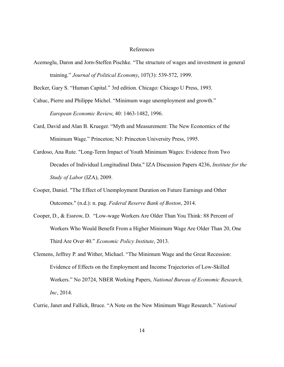## References

Acemoglu, Daron and Jorn-Steffen Pischke. "The structure of wages and investment in general training." *Journal of Political Economy*, 107(3): 539-572, 1999.

Becker, Gary S. "Human Capital." 3rd edition. Chicago: Chicago U Press, 1993.

Cahuc, Pierre and Philippe Michel. "Minimum wage unemployment and growth." *European Economic Review*, 40: 1463-1482, 1996.

- Card, David and Alan B. Krueger. "Myth and Measurement: The New Economics of the Minimum Wage." Princeton; NJ: Princeton University Press, 1995.
- Cardoso, Ana Rute. "Long-Term Impact of Youth Minimum Wages: Evidence from Two Decades of Individual Longitudinal Data." IZA Discussion Papers 4236, *Institute for the Study of Labor* (IZA), 2009.
- Cooper, Daniel. "The Effect of Unemployment Duration on Future Earnings and Other Outcomes." (n.d.): n. pag. *Federal Reserve Bank of Boston*, 2014.
- Cooper, D., & Essrow, D. "Low-wage Workers Are Older Than You Think: 88 Percent of Workers Who Would Benefit From a Higher Minimum Wage Are Older Than 20, One Third Are Over 40." *Economic Policy Institute*, 2013.
- Clemens, Jeffrey P. and Wither, Michael. "The Minimum Wage and the Great Recession: Evidence of Effects on the Employment and Income Trajectories of Low-Skilled Workers." No 20724, NBER Working Papers, *National Bureau of Economic Research, Inc*, 2014.

Currie, Janet and Fallick, Bruce. "A Note on the New Minimum Wage Research." *National*